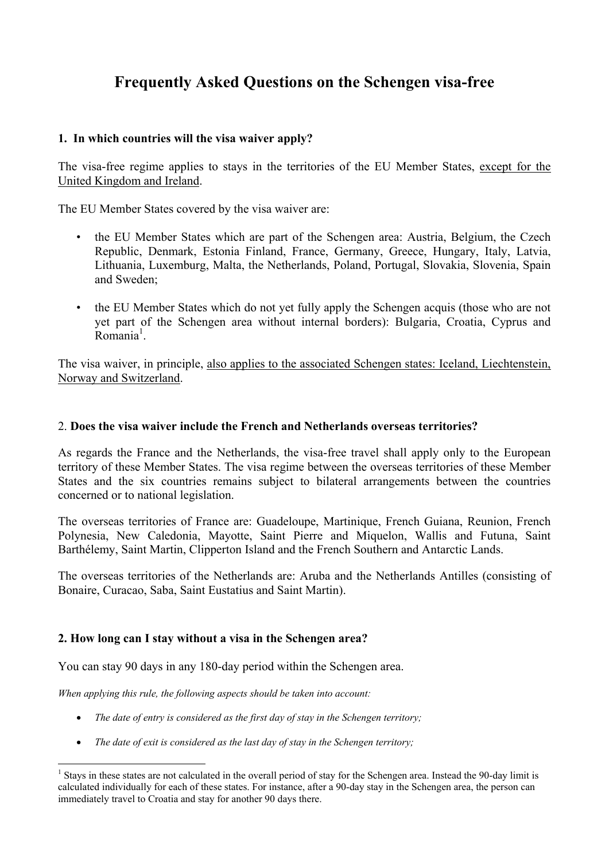# **Frequently Asked Questions on the Schengen visa-free**

## **1. In which countries will the visa waiver apply?**

The visa-free regime applies to stays in the territories of the EU Member States, except for the United Kingdom and Ireland.

The EU Member States covered by the visa waiver are:

- the EU Member States which are part of the Schengen area: Austria, Belgium, the Czech Republic, Denmark, Estonia Finland, France, Germany, Greece, Hungary, Italy, Latvia, Lithuania, Luxemburg, Malta, the Netherlands, Poland, Portugal, Slovakia, Slovenia, Spain and Sweden;
- the EU Member States which do not yet fully apply the Schengen acquis (those who are not yet part of the Schengen area without internal borders): Bulgaria, Croatia, Cyprus and Romania<sup>1</sup>.

The visa waiver, in principle, also applies to the associated Schengen states: Iceland, Liechtenstein, Norway and Switzerland.

### 2. **Does the visa waiver include the French and Netherlands overseas territories?**

As regards the France and the Netherlands, the visa-free travel shall apply only to the European territory of these Member States. The visa regime between the overseas territories of these Member States and the six countries remains subject to bilateral arrangements between the countries concerned or to national legislation.

The overseas territories of France are: Guadeloupe, Martinique, French Guiana, Reunion, French Polynesia, New Caledonia, Mayotte, Saint Pierre and Miquelon, Wallis and Futuna, Saint Barthélemy, Saint Martin, Clipperton Island and the French Southern and Antarctic Lands.

The overseas territories of the Netherlands are: Aruba and the Netherlands Antilles (consisting of Bonaire, Curacao, Saba, Saint Eustatius and Saint Martin).

# **2. How long can I stay without a visa in the Schengen area?**

You can stay 90 days in any 180-day period within the Schengen area.

*When applying this rule, the following aspects should be taken into account:* 

- *The date of entry is considered as the first day of stay in the Schengen territory;*
- *The date of exit is considered as the last day of stay in the Schengen territory;*

 $\overline{a}$ 1 Stays in these states are not calculated in the overall period of stay for the Schengen area. Instead the 90-day limit is calculated individually for each of these states. For instance, after a 90-day stay in the Schengen area, the person can immediately travel to Croatia and stay for another 90 days there.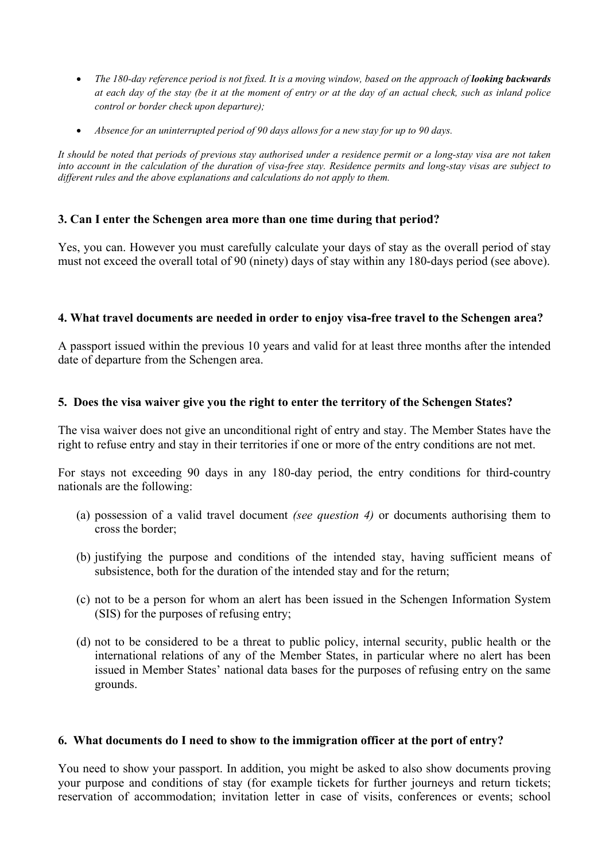- *The 180-day reference period is not fixed. It is a moving window, based on the approach of <i>looking backwards at each day of the stay (be it at the moment of entry or at the day of an actual check, such as inland police control or border check upon departure);*
- *Absence for an uninterrupted period of 90 days allows for a new stay for up to 90 days.*

*It should be noted that periods of previous stay authorised under a residence permit or a long-stay visa are not taken into account in the calculation of the duration of visa-free stay. Residence permits and long-stay visas are subject to different rules and the above explanations and calculations do not apply to them.* 

## **3. Can I enter the Schengen area more than one time during that period?**

Yes, you can. However you must carefully calculate your days of stay as the overall period of stay must not exceed the overall total of 90 (ninety) days of stay within any 180-days period (see above).

## **4. What travel documents are needed in order to enjoy visa-free travel to the Schengen area?**

A passport issued within the previous 10 years and valid for at least three months after the intended date of departure from the Schengen area.

## **5. Does the visa waiver give you the right to enter the territory of the Schengen States?**

The visa waiver does not give an unconditional right of entry and stay. The Member States have the right to refuse entry and stay in their territories if one or more of the entry conditions are not met.

For stays not exceeding 90 days in any 180-day period, the entry conditions for third-country nationals are the following:

- (a) possession of a valid travel document *(see question 4)* or documents authorising them to cross the border;
- (b) justifying the purpose and conditions of the intended stay, having sufficient means of subsistence, both for the duration of the intended stay and for the return;
- (c) not to be a person for whom an alert has been issued in the Schengen Information System (SIS) for the purposes of refusing entry;
- (d) not to be considered to be a threat to public policy, internal security, public health or the international relations of any of the Member States, in particular where no alert has been issued in Member States' national data bases for the purposes of refusing entry on the same grounds.

#### **6. What documents do I need to show to the immigration officer at the port of entry?**

You need to show your passport. In addition, you might be asked to also show documents proving your purpose and conditions of stay (for example tickets for further journeys and return tickets; reservation of accommodation; invitation letter in case of visits, conferences or events; school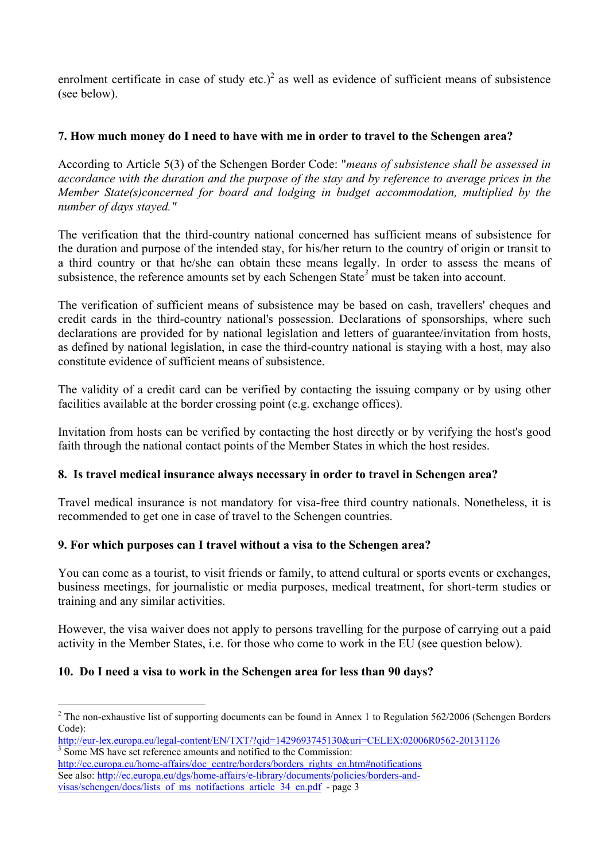enrolment certificate in case of study etc.)<sup>2</sup> as well as evidence of sufficient means of subsistence (see below).

# **7. How much money do I need to have with me in order to travel to the Schengen area?**

According to Article 5(3) of the Schengen Border Code: "*means of subsistence shall be assessed in accordance with the duration and the purpose of the stay and by reference to average prices in the Member State(s)concerned for board and lodging in budget accommodation, multiplied by the number of days stayed."* 

The verification that the third-country national concerned has sufficient means of subsistence for the duration and purpose of the intended stay, for his/her return to the country of origin or transit to a third country or that he/she can obtain these means legally. In order to assess the means of subsistence, the reference amounts set by each Schengen State<sup>3</sup> must be taken into account.

The verification of sufficient means of subsistence may be based on cash, travellers' cheques and credit cards in the third-country national's possession. Declarations of sponsorships, where such declarations are provided for by national legislation and letters of guarantee/invitation from hosts, as defined by national legislation, in case the third-country national is staying with a host, may also constitute evidence of sufficient means of subsistence.

The validity of a credit card can be verified by contacting the issuing company or by using other facilities available at the border crossing point (e.g. exchange offices).

Invitation from hosts can be verified by contacting the host directly or by verifying the host's good faith through the national contact points of the Member States in which the host resides.

# **8. Is travel medical insurance always necessary in order to travel in Schengen area?**

Travel medical insurance is not mandatory for visa-free third country nationals. Nonetheless, it is recommended to get one in case of travel to the Schengen countries.

# **9. For which purposes can I travel without a visa to the Schengen area?**

You can come as a tourist, to visit friends or family, to attend cultural or sports events or exchanges, business meetings, for journalistic or media purposes, medical treatment, for short-term studies or training and any similar activities.

However, the visa waiver does not apply to persons travelling for the purpose of carrying out a paid activity in the Member States, i.e. for those who come to work in the EU (see question below).

# **10. Do I need a visa to work in the Schengen area for less than 90 days?**

 $\overline{a}$ 

 $2$  The non-exhaustive list of supporting documents can be found in Annex 1 to Regulation 562/2006 (Schengen Borders Code):

http://eur-lex.europa.eu/legal-content/EN/TXT/?qid=1429693745130&uri=CELEX:02006R0562-20131126 Some MS have set reference amounts and notified to the Commission:

http://ec.europa.eu/home-affairs/doc\_centre/borders/borders\_rights\_en.htm#notifications See also: http://ec.europa.eu/dgs/home-affairs/e-library/documents/policies/borders-andvisas/schengen/docs/lists\_of\_ms\_notifactions\_article\_34\_en.pdf - page 3